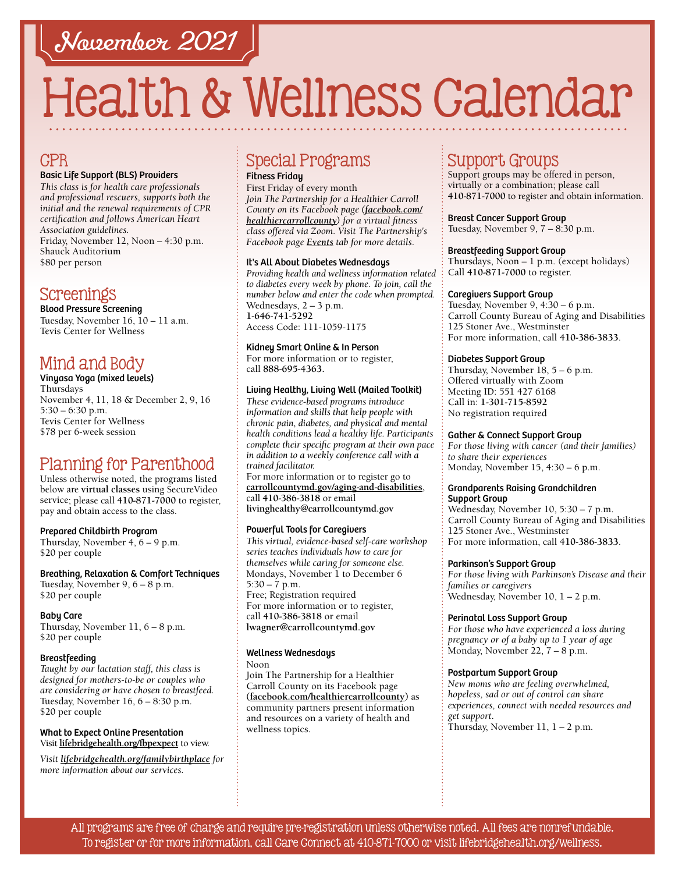# November 2021

# Health & Wellness Calendar

## **CPR**

#### Basic Life Support (BLS) Providers

*This class is for health care professionals and professional rescuers, supports both the initial and the renewal requirements of CPR certification and follows American Heart Association guidelines.*  Friday, November 12, Noon – 4:30 p.m. Shauck Auditorium \$80 per person

## Screenings

Blood Pressure Screening Tuesday, November 16, 10 – 11 a.m. Tevis Center for Wellness

## Mind and Body

#### Vinyasa Yoga (mixed levels) Thursdays November 4, 11, 18 & December 2, 9, 16 5:30 – 6:30 p.m. Tevis Center for Wellness

\$78 per 6-week session

## Planning for Parenthood

Unless otherwise noted, the programs listed below are **virtual classes** using SecureVideo service; please call **[410-871-7000](tel:4108717000)** to register, pay and obtain access to the class.

#### Prepared Childbirth Program

Thursday, November 4, 6 – 9 p.m. \$20 per couple

Breathing, Relaxation & Comfort Techniques Tuesday, November 9, 6 – 8 p.m. \$20 per couple

#### Baby Care

Thursday, November 11, 6 – 8 p.m. \$20 per couple

#### Breastfeeding

*Taught by our lactation staff, this class is designed for mothers-to-be or couples who are considering or have chosen to breastfeed.* Tuesday, November 16, 6 – 8:30 p.m. \$20 per couple

#### What to Expect Online Presentation Visit **[lifebridgehealth.org/fbpexpect](http://www.lifebridgehealth.org/fbpexpect)** to view.

*Visit [lifebridgehealth.org/familybirthplace](http://www.lifebridgehealth.org/familybirthplace) for more information about our services.*

## Special Programs

Fitness Friday

First Friday of every month *Join The Partnership for a Healthier Carroll County on its Facebook page [\(facebook.com/](https://www.facebook.com/HealthierCarrollCounty/) [healthiercarrollcounty\)](https://www.facebook.com/HealthierCarrollCounty/) for a virtual fitness class offered via Zoom. Visit The Partnership's Facebook page [Events](https://www.facebook.com/HealthierCarrollCounty/events/?ref=page_internal) tab for more details.*

#### It's All About Diabetes Wednesdays

*Providing health and wellness information related to diabetes every week by phone. To join, call the number below and enter the code when prompted.* Wednesdays, 2 – 3 p.m. **[1-646-741-5292](tel:16467415292)** Access Code: 111-1059-1175

#### Kidney Smart Online & In Person

For more information or to register, call **88[8-695-4](tel:8886954363)363.** 

#### Living Healthy, Living Well (Mailed Toolkit)

*These evidence-based programs introduce information and skills that help people with chronic pain, diabetes, and physical and mental health conditions lead a healthy life. Participants complete their specific program at their own pace in addition to a weekly conference call with a trained facilitator.*

For more information or to register go to **[carrollcountymd.gov/aging-and-disabilities](https://www.carrollcountymd.gov/aging-and-disabilities)**, call **[410-386-3818](tel:4103863818)** or email **[livinghealthy@carrollcountymd.gov](mailto:livinghealthy@carrollcountymd.gov)**

#### Powerful Tools for Caregivers

*This virtual, evidence-based self-care workshop series teaches individuals how to care for themselves while caring for someone else.* Mondays, November 1 to December 6  $5:30 - 7$  p.m.

Free; Registration required For more information or to register, call **[410-386-3818](tel:4103863818)** or email **[lwagner@carrollcountymd.gov](mailto:lwagner%40carrollcountymd.gov?subject=)**

#### Wellness Wednesdays

Noon

Join The Partnership for a Healthier Carroll County on its Facebook page **[\(facebook.com/healthiercarrollcounty\)](https://www.facebook.com/HealthierCarrollCounty/)** as community partners present information and resources on a variety of health and wellness topics.

## Support Groups

Support groups may be offered in person, virtually or a combination; please call **[410-871-7000](tel:4108717000)** to register and obtain information.

#### Breast Cancer Support Group Tuesday, November 9, 7 – 8:30 p.m.

#### Breastfeeding Support Group

Thursdays, Noon – 1 p.m. (except holidays) Call **[410-871-7000](tel:4108717000)** to register.

#### Caregivers Support Group

Tuesday, November 9, 4:30 – 6 p.m. Carroll County Bureau of Aging and Disabilities 125 Stoner Ave., Westminster For more information, call **[410-386-3833](tel:4103863833)**.

#### Diabetes Support Group

Thursday, November 18, 5 – 6 p.m. Offered virtually with Zoom Meeting ID: 551 427 6168 Call in: **[1-301-715-8592](tel:13017158592)** No registration required

#### Gather & Connect Support Group

*For those living with cancer (and their families) to share their experiences*  Monday, November 15, 4:30 – 6 p.m.

#### Grandparents Raising Grandchildren Support Group

Wednesday, November 10, 5:30 – 7 p.m. Carroll County Bureau of Aging and Disabilities 125 Stoner Ave., Westminster For more information, call **[410-386-3833](tel:4103863833)**.

#### Parkinson's Support Group

*For those living with Parkinson's Disease and their families or caregivers*  Wednesday, November 10, 1 – 2 p.m.

#### Perinatal Loss Support Group

*For those who have experienced a loss during pregnancy or of a baby up to 1 year of age* Monday, November 22, 7 – 8 p.m.

#### Postpartum Support Group

*New moms who are feeling overwhelmed, hopeless, sad or out of control can share experiences, connect with needed resources and get support*. Thursday, November 11, 1 – 2 p.m.

All programs are free of charge and require pre-registration unless otherwise noted. All fees are nonrefundable. To register or for more information, call Care Connect at [410-871-7000](tel:4108717000) or visit [lifebridgehealth.org/wellness.](https://www.lifebridgehealth.org/Carroll/CarrollHospitalTevisCenterforWellness.aspx)